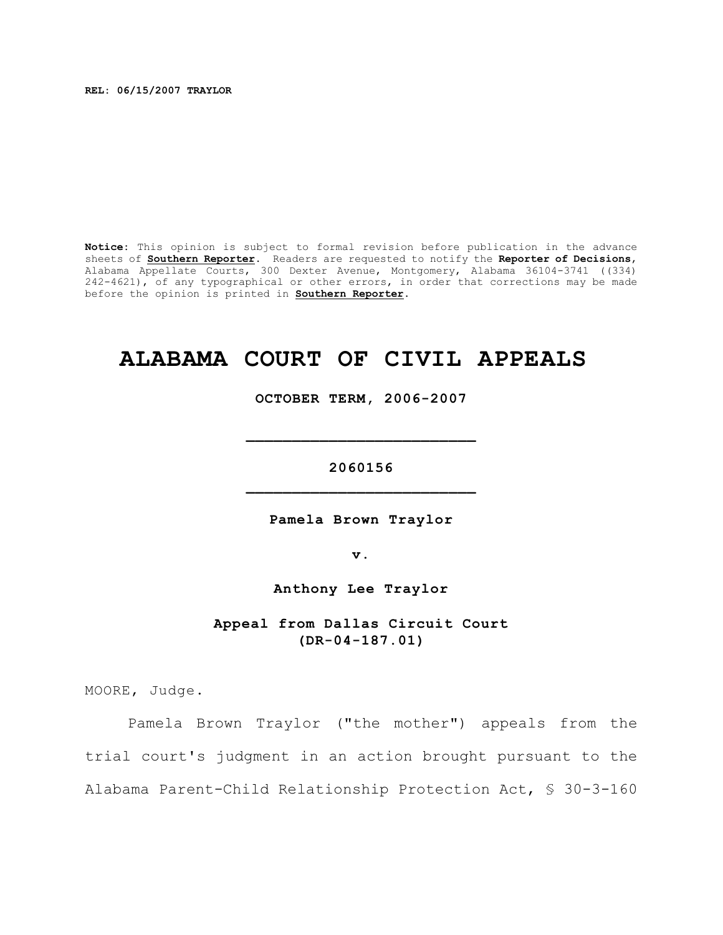**REL: 06/15/2007 TRAYLOR**

**Notice:** This opinion is subject to formal revision before publication in the advance sheets of **Southern Reporter**. Readers are requested to notify the **Reporter of Decisions**, Alabama Appellate Courts, 300 Dexter Avenue, Montgomery, Alabama 36104-3741 ((334) 242-4621), of any typographical or other errors, in order that corrections may be made before the opinion is printed in **Southern Reporter**.

# **ALABAMA COURT OF CIVIL APPEALS**

**OCTOBER TERM, 2006-2007**

**\_\_\_\_\_\_\_\_\_\_\_\_\_\_\_\_\_\_\_\_\_\_\_\_\_**

**2060156 \_\_\_\_\_\_\_\_\_\_\_\_\_\_\_\_\_\_\_\_\_\_\_\_\_**

**Pamela Brown Traylor**

**v.**

**Anthony Lee Traylor**

**Appeal from Dallas Circuit Court (DR-04-187.01)**

MOORE, Judge.

Pamela Brown Traylor ("the mother") appeals from the trial court's judgment in an action brought pursuant to the Alabama Parent-Child Relationship Protection Act, § 30-3-160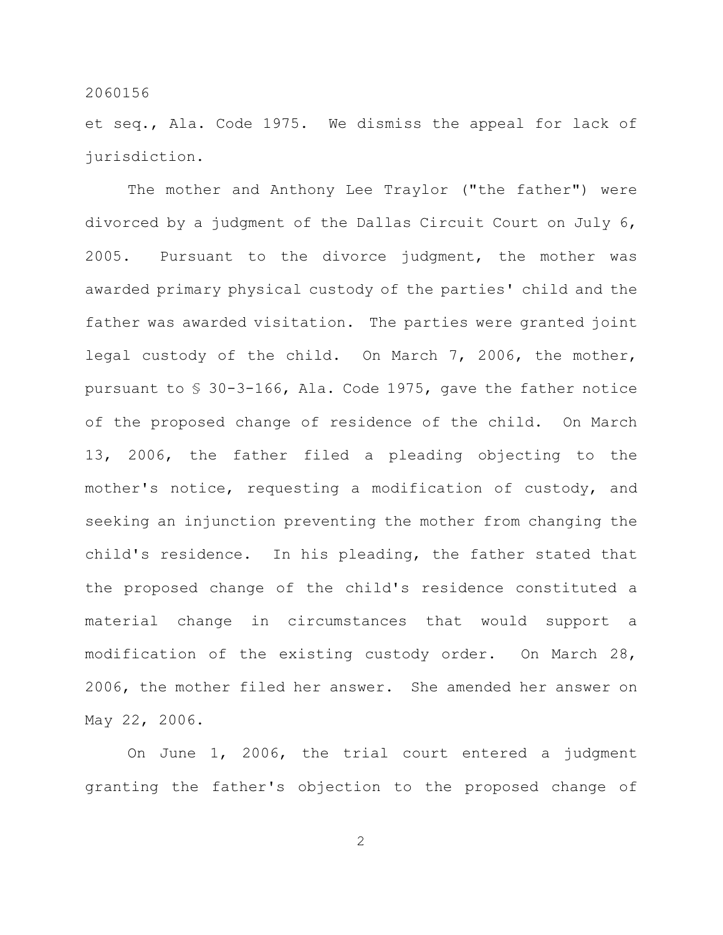et seq., Ala. Code 1975. We dismiss the appeal for lack of jurisdiction.

The mother and Anthony Lee Traylor ("the father") were divorced by a judgment of the Dallas Circuit Court on July 6, 2005. Pursuant to the divorce judgment, the mother was awarded primary physical custody of the parties' child and the father was awarded visitation. The parties were granted joint legal custody of the child. On March 7, 2006, the mother, pursuant to § 30-3-166, Ala. Code 1975, gave the father notice of the proposed change of residence of the child. On March 13, 2006, the father filed a pleading objecting to the mother's notice, requesting a modification of custody, and seeking an injunction preventing the mother from changing the child's residence. In his pleading, the father stated that the proposed change of the child's residence constituted a material change in circumstances that would support a modification of the existing custody order. On March 28, 2006, the mother filed her answer. She amended her answer on May 22, 2006.

On June 1, 2006, the trial court entered a judgment granting the father's objection to the proposed change of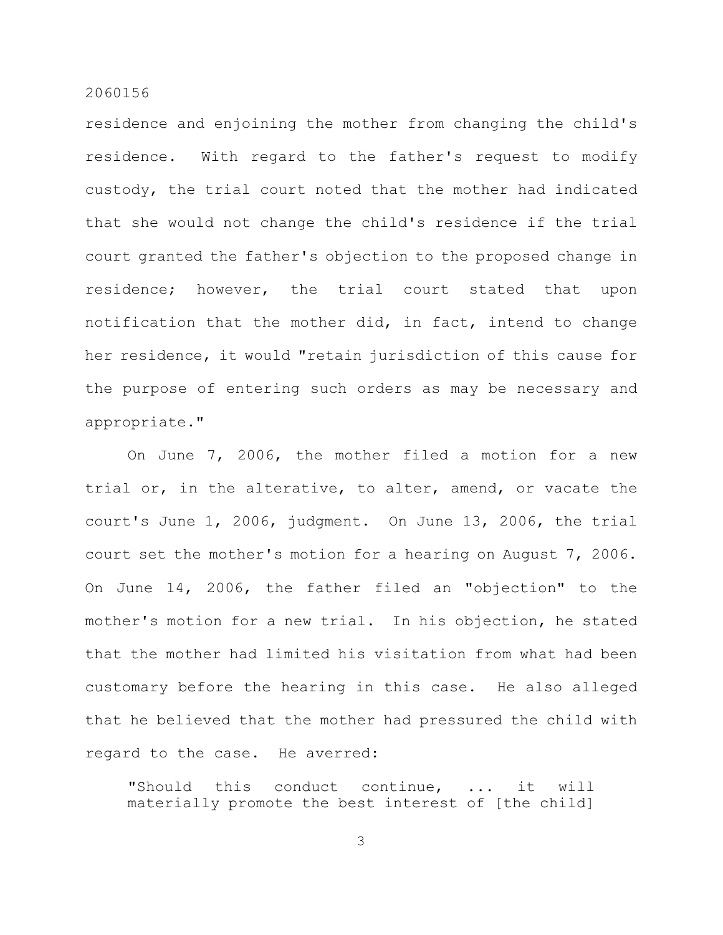residence and enjoining the mother from changing the child's residence. With regard to the father's request to modify custody, the trial court noted that the mother had indicated that she would not change the child's residence if the trial court granted the father's objection to the proposed change in residence; however, the trial court stated that upon notification that the mother did, in fact, intend to change her residence, it would "retain jurisdiction of this cause for the purpose of entering such orders as may be necessary and appropriate."

On June 7, 2006, the mother filed a motion for a new trial or, in the alterative, to alter, amend, or vacate the court's June 1, 2006, judgment. On June 13, 2006, the trial court set the mother's motion for a hearing on August 7, 2006. On June 14, 2006, the father filed an "objection" to the mother's motion for a new trial. In his objection, he stated that the mother had limited his visitation from what had been customary before the hearing in this case. He also alleged that he believed that the mother had pressured the child with regard to the case. He averred:

"Should this conduct continue, ... it will materially promote the best interest of [the child]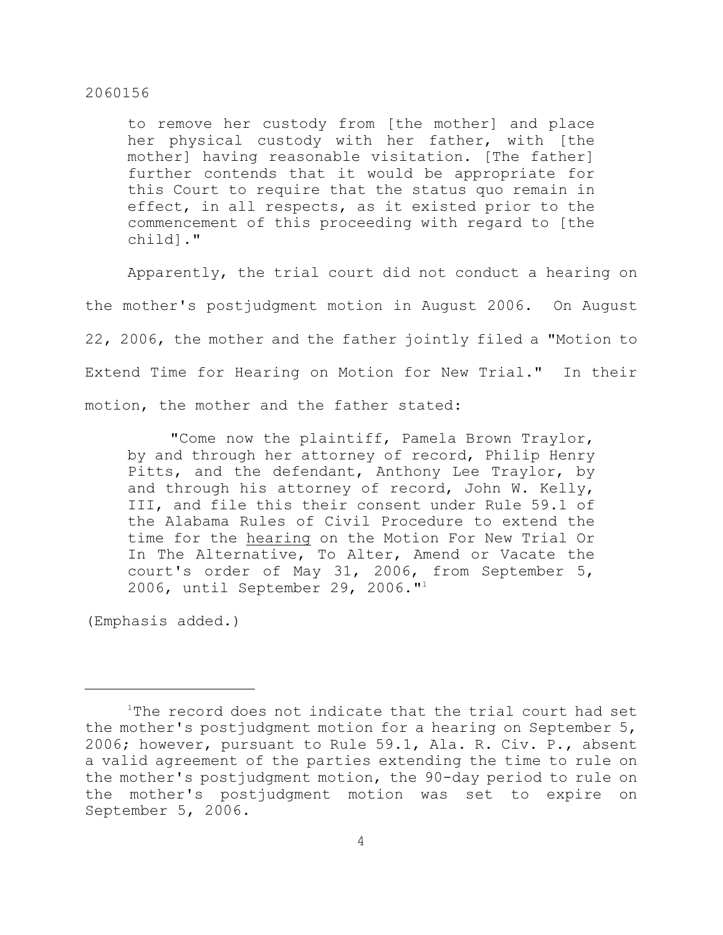to remove her custody from [the mother] and place her physical custody with her father, with [the mother] having reasonable visitation. [The father] further contends that it would be appropriate for this Court to require that the status quo remain in effect, in all respects, as it existed prior to the commencement of this proceeding with regard to [the child]."

Apparently, the trial court did not conduct a hearing on the mother's postjudgment motion in August 2006. On August 22, 2006, the mother and the father jointly filed a "Motion to Extend Time for Hearing on Motion for New Trial." In their motion, the mother and the father stated:

"Come now the plaintiff, Pamela Brown Traylor, by and through her attorney of record, Philip Henry Pitts, and the defendant, Anthony Lee Traylor, by and through his attorney of record, John W. Kelly, III, and file this their consent under Rule 59.1 of the Alabama Rules of Civil Procedure to extend the time for the hearing on the Motion For New Trial Or In The Alternative, To Alter, Amend or Vacate the court's order of May 31, 2006, from September 5, 2006, until September 29, 2006."<sup>1</sup>

(Emphasis added.)

 $1$ The record does not indicate that the trial court had set the mother's postjudgment motion for a hearing on September 5, 2006; however, pursuant to Rule 59.1, Ala. R. Civ. P., absent a valid agreement of the parties extending the time to rule on the mother's postjudgment motion, the 90-day period to rule on the mother's postjudgment motion was set to expire on September 5, 2006.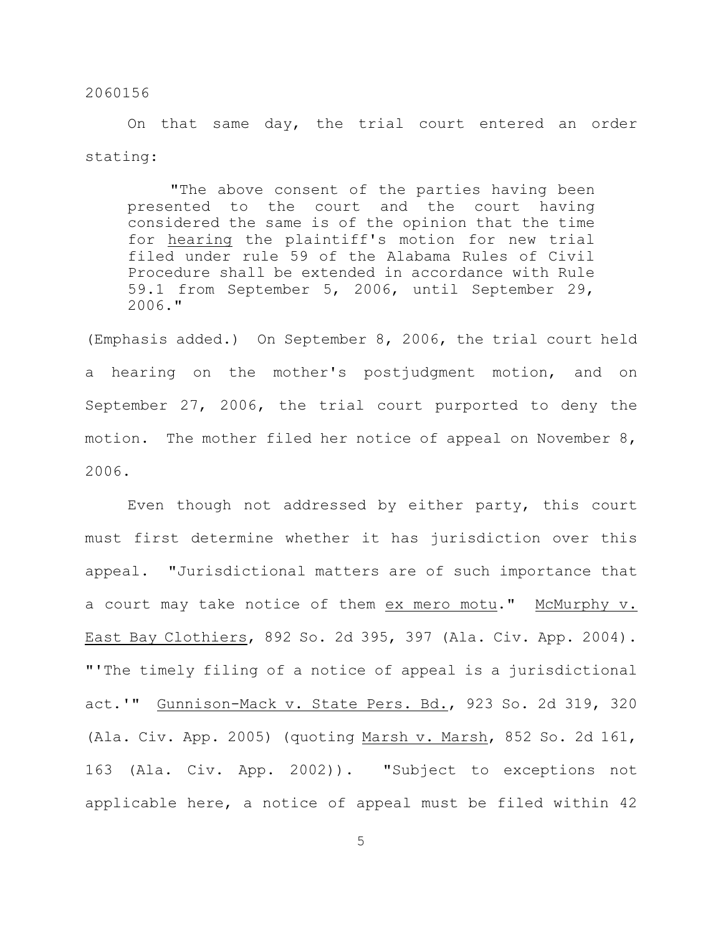On that same day, the trial court entered an order stating:

"The above consent of the parties having been presented to the court and the court having considered the same is of the opinion that the time for hearing the plaintiff's motion for new trial filed under rule 59 of the Alabama Rules of Civil Procedure shall be extended in accordance with Rule 59.1 from September 5, 2006, until September 29, 2006."

(Emphasis added.) On September 8, 2006, the trial court held a hearing on the mother's postjudgment motion, and on September 27, 2006, the trial court purported to deny the motion. The mother filed her notice of appeal on November 8, 2006.

Even though not addressed by either party, this court must first determine whether it has jurisdiction over this appeal. "Jurisdictional matters are of such importance that a court may take notice of them ex mero motu." McMurphy v. East Bay Clothiers, 892 So. 2d 395, 397 (Ala. Civ. App. 2004). "'The timely filing of a notice of appeal is a jurisdictional act.'" Gunnison-Mack v. State Pers. Bd., 923 So. 2d 319, 320 (Ala. Civ. App. 2005) (quoting Marsh v. Marsh, 852 So. 2d 161, 163 (Ala. Civ. App. 2002)). "Subject to exceptions not applicable here, a notice of appeal must be filed within 42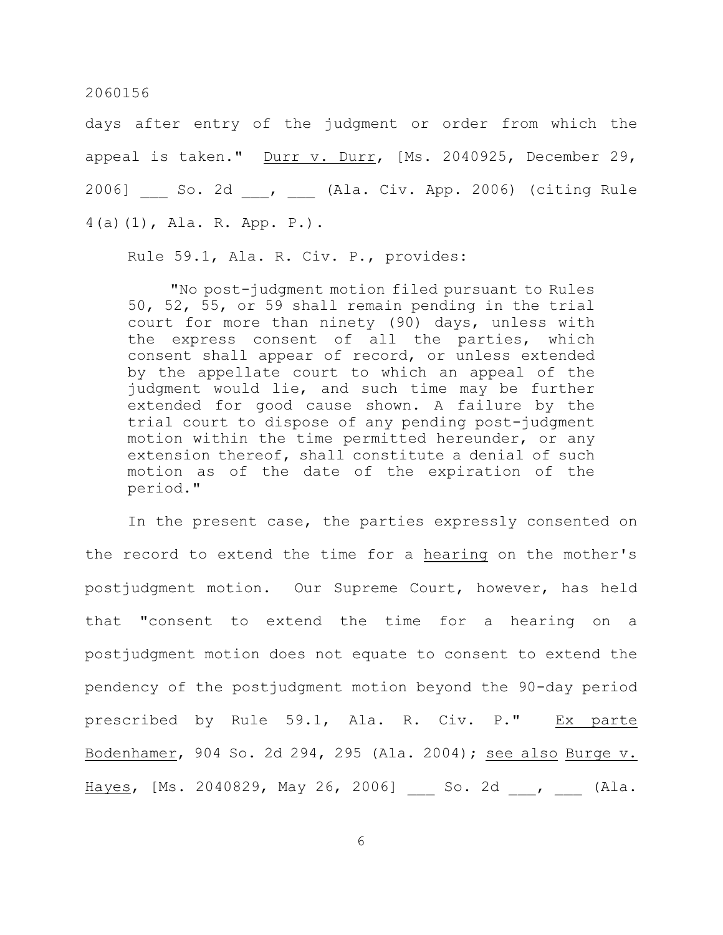days after entry of the judgment or order from which the appeal is taken." Durr v. Durr, [Ms. 2040925, December 29, 2006] \_\_\_ So. 2d \_\_\_, \_\_\_ (Ala. Civ. App. 2006) (citing Rule 4(a)(1), Ala. R. App. P.).

Rule 59.1, Ala. R. Civ. P., provides:

"No post-judgment motion filed pursuant to Rules 50, 52, 55, or 59 shall remain pending in the trial court for more than ninety (90) days, unless with the express consent of all the parties, which consent shall appear of record, or unless extended by the appellate court to which an appeal of the judgment would lie, and such time may be further extended for good cause shown. A failure by the trial court to dispose of any pending post-judgment motion within the time permitted hereunder, or any extension thereof, shall constitute a denial of such motion as of the date of the expiration of the period."

In the present case, the parties expressly consented on the record to extend the time for a hearing on the mother's postjudgment motion. Our Supreme Court, however, has held that "consent to extend the time for a hearing on a postjudgment motion does not equate to consent to extend the pendency of the postjudgment motion beyond the 90-day period prescribed by Rule 59.1, Ala. R. Civ. P." Ex parte Bodenhamer, 904 So. 2d 294, 295 (Ala. 2004); see also Burge v. Hayes, [Ms. 2040829, May 26, 2006] So. 2d , (Ala.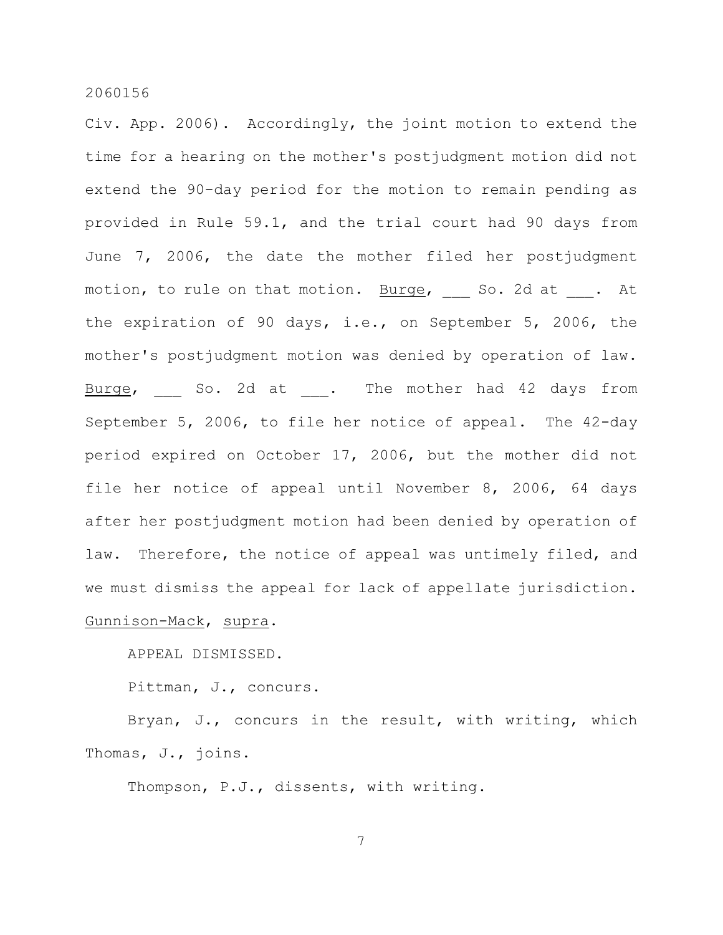Civ. App. 2006). Accordingly, the joint motion to extend the time for a hearing on the mother's postjudgment motion did not extend the 90-day period for the motion to remain pending as provided in Rule 59.1, and the trial court had 90 days from June 7, 2006, the date the mother filed her postjudgment motion, to rule on that motion. Burge, So. 2d at . At the expiration of 90 days, i.e., on September 5, 2006, the mother's postjudgment motion was denied by operation of law. Burge, So. 2d at . The mother had 42 days from September 5, 2006, to file her notice of appeal. The 42-day period expired on October 17, 2006, but the mother did not file her notice of appeal until November 8, 2006, 64 days after her postjudgment motion had been denied by operation of law. Therefore, the notice of appeal was untimely filed, and we must dismiss the appeal for lack of appellate jurisdiction. Gunnison-Mack, supra.

APPEAL DISMISSED.

Pittman, J., concurs.

Bryan, J., concurs in the result, with writing, which Thomas, J., joins.

Thompson, P.J., dissents, with writing.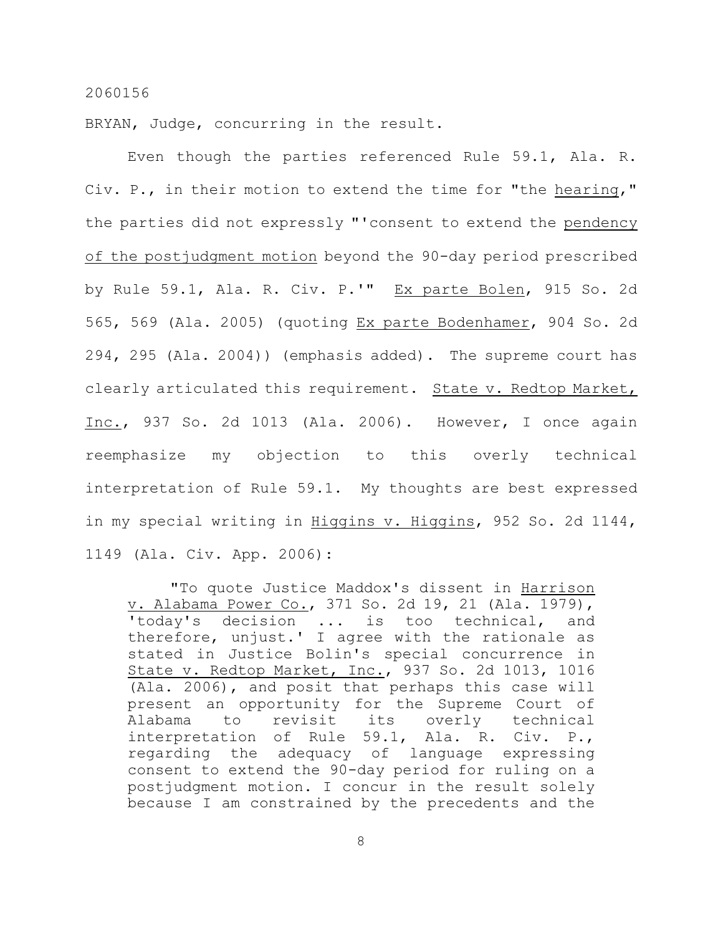BRYAN, Judge, concurring in the result.

Even though the parties referenced Rule 59.1, Ala. R. Civ. P., in their motion to extend the time for "the hearing," the parties did not expressly "'consent to extend the pendency of the postjudgment motion beyond the 90-day period prescribed by Rule 59.1, Ala. R. Civ. P.'" Ex parte Bolen, 915 So. 2d 565, 569 (Ala. 2005) (quoting Ex parte Bodenhamer, 904 So. 2d 294, 295 (Ala. 2004)) (emphasis added). The supreme court has clearly articulated this requirement. State v. Redtop Market, Inc., 937 So. 2d 1013 (Ala. 2006). However, I once again reemphasize my objection to this overly technical interpretation of Rule 59.1. My thoughts are best expressed in my special writing in Higgins v. Higgins, 952 So. 2d 1144, 1149 (Ala. Civ. App. 2006):

"To quote Justice Maddox's dissent in Harrison v. Alabama Power Co., 371 So. 2d 19, 21 (Ala. 1979), 'today's decision ... is too technical, and therefore, unjust.' I agree with the rationale as stated in Justice Bolin's special concurrence in State v. Redtop Market, Inc., 937 So. 2d 1013, 1016 (Ala. 2006), and posit that perhaps this case will present an opportunity for the Supreme Court of Alabama to revisit its overly technical interpretation of Rule 59.1, Ala. R. Civ. P., regarding the adequacy of language expressing consent to extend the 90-day period for ruling on a postjudgment motion. I concur in the result solely because I am constrained by the precedents and the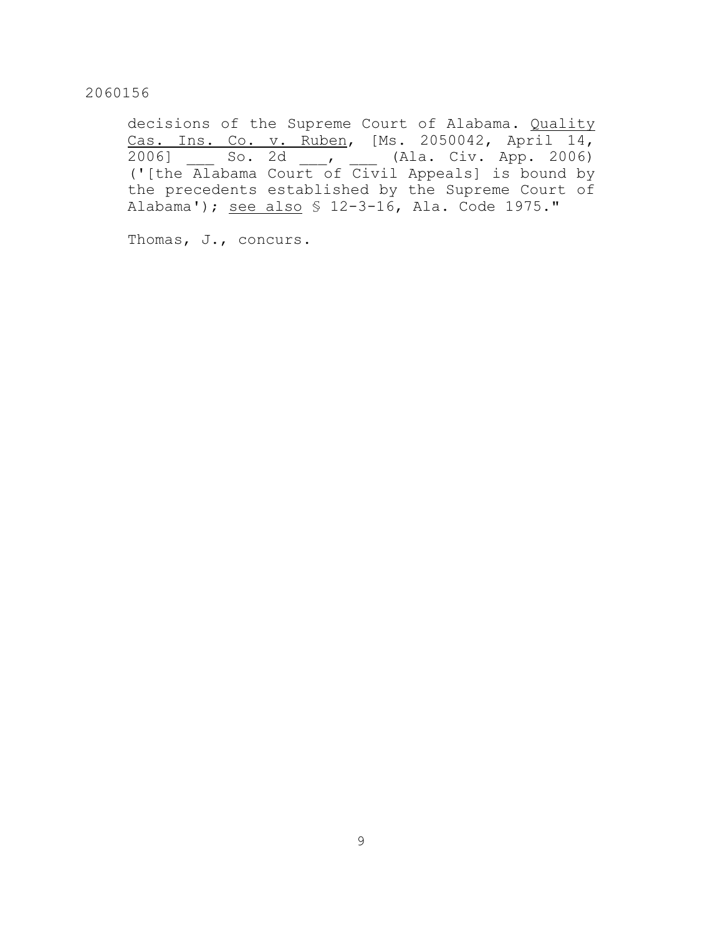decisions of the Supreme Court of Alabama. Quality Cas. Ins. Co. v. Ruben, [Ms. 2050042, April 14, 2006] \_\_\_ So. 2d \_\_\_, \_\_\_ (Ala. Civ. App. 2006) ('[the Alabama Court of Civil Appeals] is bound by the precedents established by the Supreme Court of Alabama'); see also § 12-3-16, Ala. Code 1975."

Thomas, J., concurs.